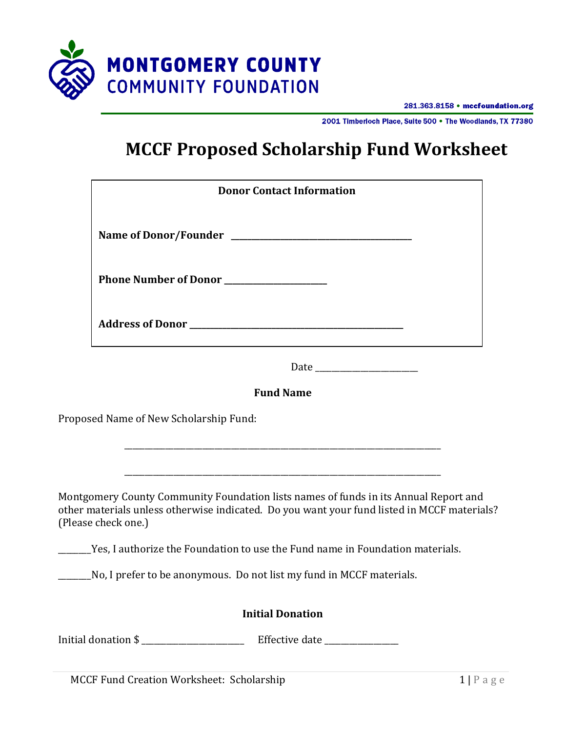

281.363.8158 • mccfoundation.org

2001 Timberloch Place, Suite 500 . The Woodlands, TX 77380

# **MCCF Proposed Scholarship Fund Worksheet**

| <b>Donor Contact Information</b>                                                                                                                                                                           |
|------------------------------------------------------------------------------------------------------------------------------------------------------------------------------------------------------------|
|                                                                                                                                                                                                            |
| Phone Number of Donor                                                                                                                                                                                      |
|                                                                                                                                                                                                            |
|                                                                                                                                                                                                            |
| <b>Fund Name</b>                                                                                                                                                                                           |
| Proposed Name of New Scholarship Fund:                                                                                                                                                                     |
| Montgomery County Community Foundation lists names of funds in its Annual Report and<br>other materials unless otherwise indicated. Do you want your fund listed in MCCF materials?<br>(Please check one.) |
| Yes, I authorize the Foundation to use the Fund name in Foundation materials.                                                                                                                              |
| No, I prefer to be anonymous. Do not list my fund in MCCF materials.                                                                                                                                       |
| <b>Initial Donation</b>                                                                                                                                                                                    |
| Initial donation \$<br>Effective date _______________                                                                                                                                                      |

MCCF Fund Creation Worksheet: Scholarship 1 | P a g e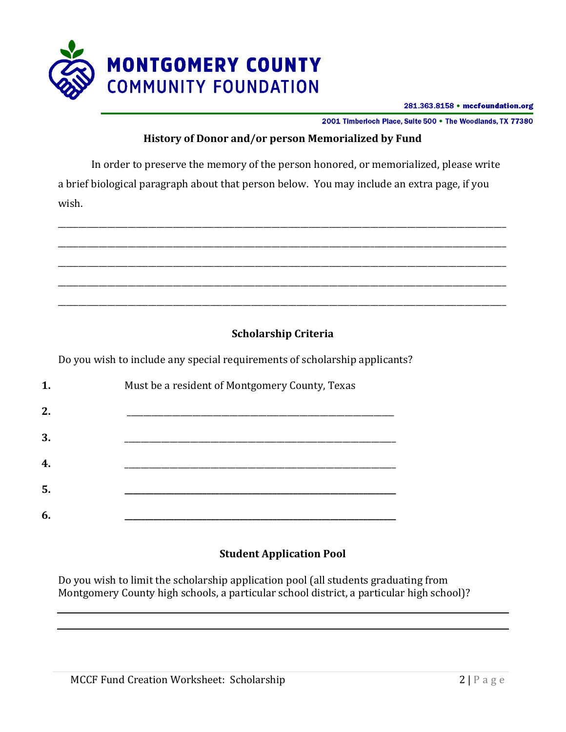

281.363.8158 • mccfoundation.org

2001 Timberloch Place, Suite 500 . The Woodlands, TX 77380

#### **History of Donor and/or person Memorialized by Fund**

In order to preserve the memory of the person honored, or memorialized, please write a brief biological paragraph about that person below. You may include an extra page, if you wish.



## **Scholarship Criteria**

Do you wish to include any special requirements of scholarship applicants?

| 1. | Must be a resident of Montgomery County, Texas |
|----|------------------------------------------------|
| 2. |                                                |
| 3. |                                                |
| 4. |                                                |
| 5. |                                                |
| 6. |                                                |

#### **Student Application Pool**

Do you wish to limit the scholarship application pool (all students graduating from Montgomery County high schools, a particular school district, a particular high school)?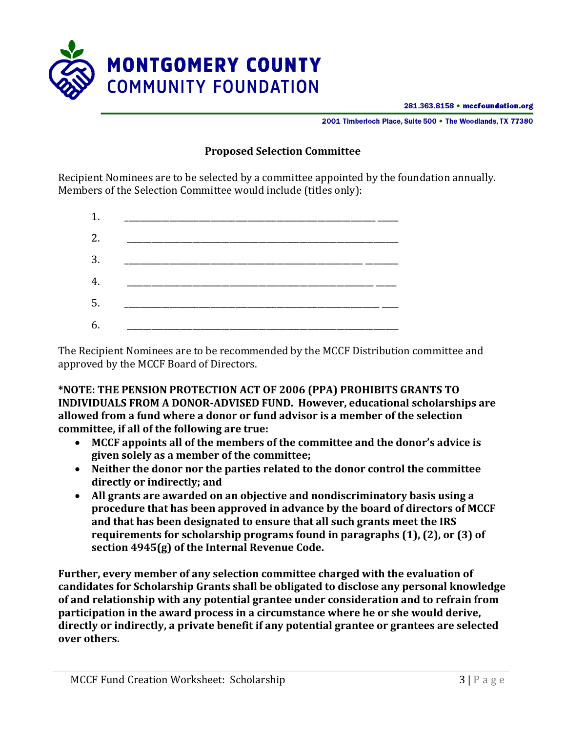

281.363.8158 • mccfoundation.org

2001 Timberloch Place, Suite 500 . The Woodlands, TX 77380

#### **Proposed Selection Committee**

Recipient Nominees are to be selected by a committee appointed by the foundation annually. Members of the Selection Committee would include (titles only):



The Recipient Nominees are to be recommended by the MCCF Distribution committee and approved by the MCCF Board of Directors.

**\*NOTE: THE PENSION PROTECTION ACT OF 2006 (PPA) PROHIBITS GRANTS TO INDIVIDUALS FROM A DONOR-ADVISED FUND. However, educational scholarships are allowed from a fund where a donor or fund advisor is a member of the selection committee, if all of the following are true:**

- **MCCF appoints all of the members of the committee and the donor's advice is given solely as a member of the committee;**
- **Neither the donor nor the parties related to the donor control the committee directly or indirectly; and**
- **All grants are awarded on an objective and nondiscriminatory basis using a procedure that has been approved in advance by the board of directors of MCCF and that has been designated to ensure that all such grants meet the IRS requirements for scholarship programs found in paragraphs (1), (2), or (3) of section 4945(g) of the Internal Revenue Code.**

**Further, every member of any selection committee charged with the evaluation of candidates for Scholarship Grants shall be obligated to disclose any personal knowledge of and relationship with any potential grantee under consideration and to refrain from participation in the award process in a circumstance where he or she would derive, directly or indirectly, a private benefit if any potential grantee or grantees are selected over others.**